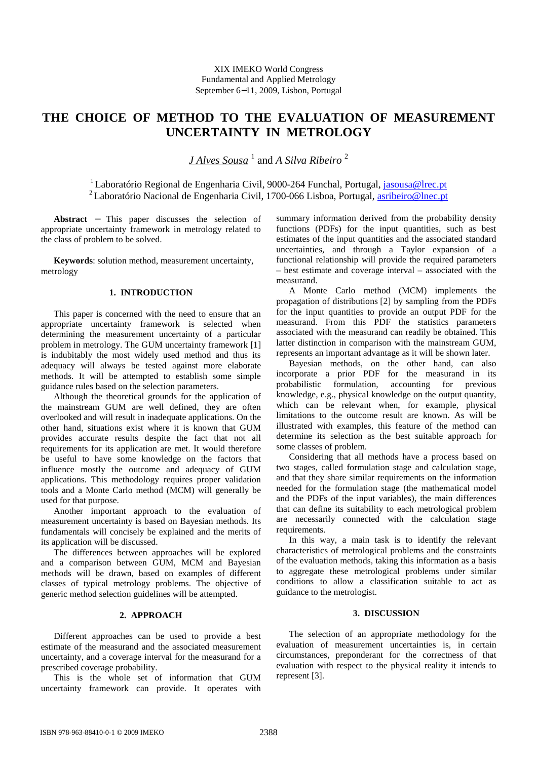# **THE CHOICE OF METHOD TO THE EVALUATION OF MEASUREMENT UNCERTAINTY IN METROLOGY**

*J Alves Sousa* <sup>1</sup> and *A Silva Ribeiro* <sup>2</sup>

<sup>1</sup> Laboratório Regional de Engenharia Civil, 9000-264 Funchal, Portugal, jasousa@lrec.pt <sup>2</sup> Laboratório Nacional de Engenharia Civil, 1700-066 Lisboa, Portugal, asribeiro@lnec.pt

**Abstract** − This paper discusses the selection of appropriate uncertainty framework in metrology related to the class of problem to be solved.

**Keywords**: solution method, measurement uncertainty, metrology

# **1. INTRODUCTION**

This paper is concerned with the need to ensure that an appropriate uncertainty framework is selected when determining the measurement uncertainty of a particular problem in metrology. The GUM uncertainty framework [1] is indubitably the most widely used method and thus its adequacy will always be tested against more elaborate methods. It will be attempted to establish some simple guidance rules based on the selection parameters.

Although the theoretical grounds for the application of the mainstream GUM are well defined, they are often overlooked and will result in inadequate applications. On the other hand, situations exist where it is known that GUM provides accurate results despite the fact that not all requirements for its application are met. It would therefore be useful to have some knowledge on the factors that influence mostly the outcome and adequacy of GUM applications. This methodology requires proper validation tools and a Monte Carlo method (MCM) will generally be used for that purpose.

Another important approach to the evaluation of measurement uncertainty is based on Bayesian methods. Its fundamentals will concisely be explained and the merits of its application will be discussed.

The differences between approaches will be explored and a comparison between GUM, MCM and Bayesian methods will be drawn, based on examples of different classes of typical metrology problems. The objective of generic method selection guidelines will be attempted.

## **2. APPROACH**

Different approaches can be used to provide a best estimate of the measurand and the associated measurement uncertainty, and a coverage interval for the measurand for a prescribed coverage probability.

This is the whole set of information that GUM uncertainty framework can provide. It operates with summary information derived from the probability density functions (PDFs) for the input quantities, such as best estimates of the input quantities and the associated standard uncertainties, and through a Taylor expansion of a functional relationship will provide the required parameters – best estimate and coverage interval – associated with the measurand.

A Monte Carlo method (MCM) implements the propagation of distributions [2] by sampling from the PDFs for the input quantities to provide an output PDF for the measurand. From this PDF the statistics parameters associated with the measurand can readily be obtained. This latter distinction in comparison with the mainstream GUM, represents an important advantage as it will be shown later.

Bayesian methods, on the other hand, can also incorporate a prior PDF for the measurand in its probabilistic formulation, accounting for previous knowledge, e.g., physical knowledge on the output quantity, which can be relevant when, for example, physical limitations to the outcome result are known. As will be illustrated with examples, this feature of the method can determine its selection as the best suitable approach for some classes of problem.

Considering that all methods have a process based on two stages, called formulation stage and calculation stage, and that they share similar requirements on the information needed for the formulation stage (the mathematical model and the PDFs of the input variables), the main differences that can define its suitability to each metrological problem are necessarily connected with the calculation stage requirements.

In this way, a main task is to identify the relevant characteristics of metrological problems and the constraints of the evaluation methods, taking this information as a basis to aggregate these metrological problems under similar conditions to allow a classification suitable to act as guidance to the metrologist.

# **3. DISCUSSION**

The selection of an appropriate methodology for the evaluation of measurement uncertainties is, in certain circumstances, preponderant for the correctness of that evaluation with respect to the physical reality it intends to represent [3].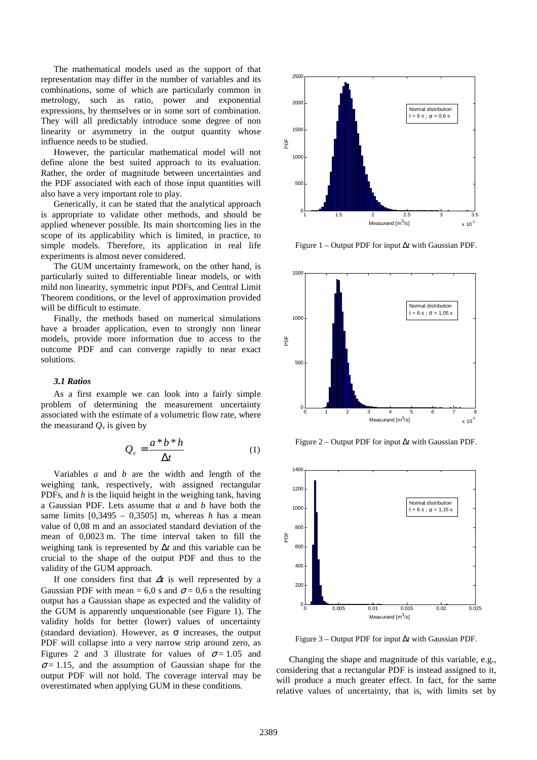The mathematical models used as the support of that representation may differ in the number of variables and its combinations, some of which are particularly common in metrology, such as ratio, power and exponential expressions, by themselves or in some sort of combination. They will all predictably introduce some degree of non linearity or asymmetry in the output quantity whose influence needs to be studied.

However, the particular mathematical model will not define alone the best suited approach to its evaluation. Rather, the order of magnitude between uncertainties and the PDF associated with each of those input quantities will also have a very important role to play.

Generically, it can be stated that the analytical approach is appropriate to validate other methods, and should be applied whenever possible. Its main shortcoming lies in the scope of its applicability which is limited, in practice, to simple models. Therefore, its application in real life experiments is almost never considered.

The GUM uncertainty framework, on the other hand, is particularly suited to differentiable linear models, or with mild non linearity, symmetric input PDFs, and Central Limit Theorem conditions, or the level of approximation provided will be difficult to estimate.

Finally, the methods based on numerical simulations have a broader application, even to strongly non linear models, provide more information due to access to the outcome PDF and can converge rapidly to near exact solutions.

#### *3.1 Ratios*

As a first example we can look into a fairly simple problem of determining the measurement uncertainty associated with the estimate of a volumetric flow rate, where the measurand  $Q_{v}$  is given by

$$
Q_{\nu} = \frac{a * b * h}{\Delta t} \tag{1}
$$

Variables *a* and *b* are the width and length of the weighing tank, respectively, with assigned rectangular PDFs, and *h* is the liquid height in the weighing tank, having a Gaussian PDF. Lets assume that *a* and *b* have both the same limits  $[0,3495 - 0,3505]$  m, whereas *h* has a mean value of 0,08 m and an associated standard deviation of the mean of 0,0023 m. The time interval taken to fill the weighing tank is represented by ∆*t* and this variable can be crucial to the shape of the output PDF and thus to the validity of the GUM approach.

If one considers first that <sup>∆</sup>*t* is well represented by a Gaussian PDF with mean = 6,0 s and  $\sigma$  = 0,6 s the resulting output has a Gaussian shape as expected and the validity of the GUM is apparently unquestionable (see Figure 1). The validity holds for better (lower) values of uncertainty (standard deviation). However, as  $\sigma$  increases, the output PDF will collapse into a very narrow strip around zero, as Figures 2 and 3 illustrate for values of  $\sigma = 1.05$  and  $\sigma$  = 1.15, and the assumption of Gaussian shape for the output PDF will not hold. The coverage interval may be overestimated when applying GUM in these conditions.



Figure 1 – Output PDF for input ∆*t* with Gaussian PDF.



Figure 2 – Output PDF for input ∆*t* with Gaussian PDF.



Figure 3 – Output PDF for input ∆*t* with Gaussian PDF.

Changing the shape and magnitude of this variable, e.g., considering that a rectangular PDF is instead assigned to it, will produce a much greater effect. In fact, for the same relative values of uncertainty, that is, with limits set by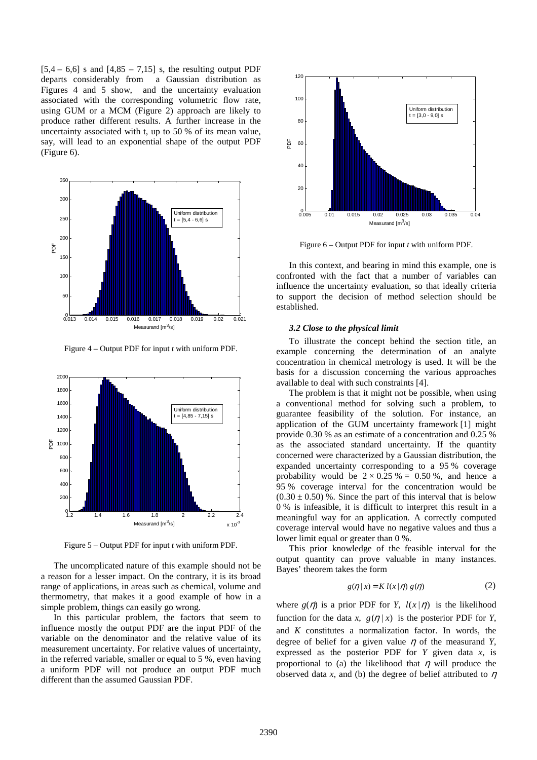$[5,4 - 6,6]$  s and  $[4,85 - 7,15]$  s, the resulting output PDF departs considerably from a Gaussian distribution as Figures 4 and 5 show, and the uncertainty evaluation associated with the corresponding volumetric flow rate, using GUM or a MCM (Figure 2) approach are likely to produce rather different results. A further increase in the uncertainty associated with t, up to 50 % of its mean value, say, will lead to an exponential shape of the output PDF (Figure 6).



Figure 4 – Output PDF for input *t* with uniform PDF.



Figure 5 – Output PDF for input *t* with uniform PDF.

The uncomplicated nature of this example should not be a reason for a lesser impact. On the contrary, it is its broad range of applications, in areas such as chemical, volume and thermometry, that makes it a good example of how in a simple problem, things can easily go wrong.

In this particular problem, the factors that seem to influence mostly the output PDF are the input PDF of the variable on the denominator and the relative value of its measurement uncertainty. For relative values of uncertainty, in the referred variable, smaller or equal to 5 %, even having a uniform PDF will not produce an output PDF much different than the assumed Gaussian PDF.



Figure 6 – Output PDF for input *t* with uniform PDF.

In this context, and bearing in mind this example, one is confronted with the fact that a number of variables can influence the uncertainty evaluation, so that ideally criteria to support the decision of method selection should be established.

#### *3.2 Close to the physical limit*

To illustrate the concept behind the section title, an example concerning the determination of an analyte concentration in chemical metrology is used. It will be the basis for a discussion concerning the various approaches available to deal with such constraints [4].

The problem is that it might not be possible, when using a conventional method for solving such a problem, to guarantee feasibility of the solution. For instance, an application of the GUM uncertainty framework [1] might provide 0.30 % as an estimate of a concentration and 0.25 % as the associated standard uncertainty. If the quantity concerned were characterized by a Gaussian distribution, the expanded uncertainty corresponding to a 95 % coverage probability would be  $2 \times 0.25\% = 0.50\%$ , and hence a 95 % coverage interval for the concentration would be  $(0.30 \pm 0.50)$ %. Since the part of this interval that is below 0 % is infeasible, it is difficult to interpret this result in a meaningful way for an application. A correctly computed coverage interval would have no negative values and thus a lower limit equal or greater than 0 %.

This prior knowledge of the feasible interval for the output quantity can prove valuable in many instances. Bayes' theorem takes the form

$$
g(\eta \mid x) = K l(x \mid \eta) g(\eta) \tag{2}
$$

where  $g(\eta)$  is a prior PDF for *Y*,  $l(x|\eta)$  is the likelihood function for the data *x*,  $g(\eta | x)$  is the posterior PDF for *Y*, and *K* constitutes a normalization factor. In words, the degree of belief for a given value  $\eta$  of the measurand *Y*, expressed as the posterior PDF for *Y* given data *x*, is proportional to (a) the likelihood that  $\eta$  will produce the observed data *x*, and (b) the degree of belief attributed to  $\eta$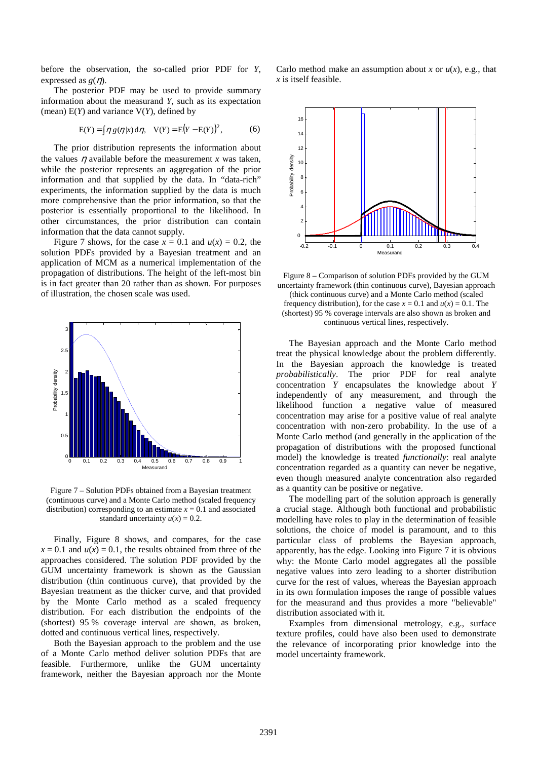before the observation, the so-called prior PDF for *Y*, expressed as  $g(\eta)$ .

The posterior PDF may be used to provide summary information about the measurand *Y*, such as its expectation (mean) E(*Y*) and variance V(*Y*), defined by

$$
E(Y) = \int \eta g(\eta | x) d\eta
$$
,  $V(Y) = E(Y - E(Y))^2$ , (6)

The prior distribution represents the information about the values  $\eta$  available before the measurement *x* was taken, while the posterior represents an aggregation of the prior information and that supplied by the data. In "data-rich" experiments, the information supplied by the data is much more comprehensive than the prior information, so that the posterior is essentially proportional to the likelihood. In other circumstances, the prior distribution can contain information that the data cannot supply.

Figure 7 shows, for the case  $x = 0.1$  and  $u(x) = 0.2$ , the solution PDFs provided by a Bayesian treatment and an application of MCM as a numerical implementation of the propagation of distributions. The height of the left-most bin is in fact greater than 20 rather than as shown. For purposes of illustration, the chosen scale was used.



Figure 7 – Solution PDFs obtained from a Bayesian treatment (continuous curve) and a Monte Carlo method (scaled frequency distribution) corresponding to an estimate  $x = 0.1$  and associated standard uncertainty  $u(x) = 0.2$ .

Finally, Figure 8 shows, and compares, for the case  $x = 0.1$  and  $u(x) = 0.1$ , the results obtained from three of the approaches considered. The solution PDF provided by the GUM uncertainty framework is shown as the Gaussian distribution (thin continuous curve), that provided by the Bayesian treatment as the thicker curve, and that provided by the Monte Carlo method as a scaled frequency distribution. For each distribution the endpoints of the (shortest) 95 % coverage interval are shown, as broken, dotted and continuous vertical lines, respectively.

Both the Bayesian approach to the problem and the use of a Monte Carlo method deliver solution PDFs that are feasible. Furthermore, unlike the GUM uncertainty framework, neither the Bayesian approach nor the Monte Carlo method make an assumption about *x* or  $u(x)$ , e.g., that *x* is itself feasible.



Figure 8 – Comparison of solution PDFs provided by the GUM uncertainty framework (thin continuous curve), Bayesian approach (thick continuous curve) and a Monte Carlo method (scaled frequency distribution), for the case  $x = 0.1$  and  $u(x) = 0.1$ . The (shortest) 95 % coverage intervals are also shown as broken and continuous vertical lines, respectively.

The Bayesian approach and the Monte Carlo method treat the physical knowledge about the problem differently. In the Bayesian approach the knowledge is treated *probabilistically*. The prior PDF for real analyte concentration *Y* encapsulates the knowledge about *Y* independently of any measurement, and through the likelihood function a negative value of measured concentration may arise for a positive value of real analyte concentration with non-zero probability. In the use of a Monte Carlo method (and generally in the application of the propagation of distributions with the proposed functional model) the knowledge is treated *functionally*: real analyte concentration regarded as a quantity can never be negative, even though measured analyte concentration also regarded as a quantity can be positive or negative.

The modelling part of the solution approach is generally a crucial stage. Although both functional and probabilistic modelling have roles to play in the determination of feasible solutions, the choice of model is paramount, and to this particular class of problems the Bayesian approach, apparently, has the edge. Looking into Figure 7 it is obvious why: the Monte Carlo model aggregates all the possible negative values into zero leading to a shorter distribution curve for the rest of values, whereas the Bayesian approach in its own formulation imposes the range of possible values for the measurand and thus provides a more "believable" distribution associated with it.

Examples from dimensional metrology, e.g., surface texture profiles, could have also been used to demonstrate the relevance of incorporating prior knowledge into the model uncertainty framework.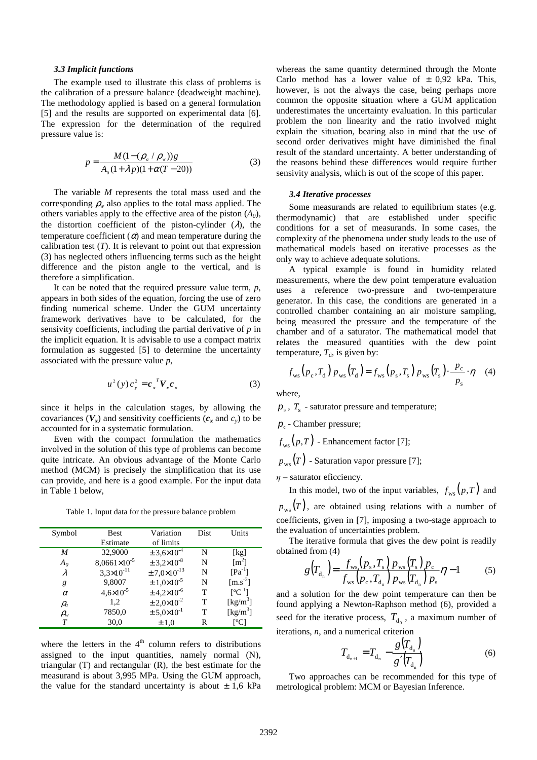#### *3.3 Implicit functions*

The example used to illustrate this class of problems is the calibration of a pressure balance (deadweight machine). The methodology applied is based on a general formulation [5] and the results are supported on experimental data [6]. The expression for the determination of the required pressure value is:

$$
p = \frac{M(1 - (\rho_a / \rho_w))g}{A_0(1 + \lambda p)(1 + \alpha(T - 20))}
$$
(3)

The variable *M* represents the total mass used and the corresponding  $\rho_w$  also applies to the total mass applied. The others variables apply to the effective area of the piston  $(A_0)$ , the distortion coefficient of the piston-cylinder  $(\lambda)$ , the temperature coefficient  $\alpha$  and mean temperature during the calibration test  $(T)$ . It is relevant to point out that expression (3) has neglected others influencing terms such as the height difference and the piston angle to the vertical, and is therefore a simplification.

It can be noted that the required pressure value term, *p*, appears in both sides of the equation, forcing the use of zero finding numerical scheme. Under the GUM uncertainty framework derivatives have to be calculated, for the sensivity coefficients, including the partial derivative of *p* in the implicit equation. It is advisable to use a compact matrix formulation as suggested [5] to determine the uncertainty associated with the pressure value *p*,

$$
u^2(y)c_y^2 = c_x^T V_x c_x \tag{3}
$$

since it helps in the calculation stages, by allowing the covariances  $(V_x)$  and sensitivity coefficients  $(c_x \text{ and } c_y)$  to be accounted for in a systematic formulation.

 Even with the compact formulation the mathematics involved in the solution of this type of problems can become quite intricate. An obvious advantage of the Monte Carlo method (MCM) is precisely the simplification that its use can provide, and here is a good example. For the input data in Table 1 below,

Table 1. Input data for the pressure balance problem

| Symbol                        | <b>Best</b>           | Variation                  | Dist | Units                          |
|-------------------------------|-----------------------|----------------------------|------|--------------------------------|
|                               | Estimate              | of limits                  |      |                                |
| M                             | 32,9000               | $\pm 3,6 \times 10^{-4}$   | N    | [kg]                           |
| $A_0$                         | $8,0661\times10^{-5}$ | $\pm 3,2\times 10^{-8}$    | N    | $\lceil m^2 \rceil$            |
| λ                             | $3,3\times10^{-11}$   | $\pm 7.0 \times 10^{-13}$  | N    | $[Pa^{-1}]$                    |
| g                             | 9,8007                | $\pm 1,0 \times 10^{-5}$   | N    | $\left[\text{m.s}^2\right]$    |
| $\alpha$                      | $4,6 \times 10^{-5}$  | $\pm$ 4,2×10 <sup>-6</sup> | T    | $\lceil^{\circ}C^{-1}\rceil$   |
| $\rho_a$                      | 1,2                   | $\pm 2,0 \times 10^{-2}$   | т    | $\left[\mathrm{kg/m}^3\right]$ |
| $\rho_{\scriptscriptstyle W}$ | 7850,0                | $\pm 5,0 \times 10^{-1}$   |      | $\left[\text{kg/m}^3\right]$   |
| $\tau$                        | 30,0                  | ±1.0                       |      | [°C]                           |

where the letters in the  $4<sup>th</sup>$  column refers to distributions assigned to the input quantities, namely normal (N), triangular (T) and rectangular (R), the best estimate for the measurand is about 3,995 MPa. Using the GUM approach, the value for the standard uncertainty is about  $\pm$  1,6 kPa whereas the same quantity determined through the Monte Carlo method has a lower value of  $\pm$  0,92 kPa. This, however, is not the always the case, being perhaps more common the opposite situation where a GUM application underestimates the uncertainty evaluation. In this particular problem the non linearity and the ratio involved might explain the situation, bearing also in mind that the use of second order derivatives might have diminished the final result of the standard uncertainty. A better understanding of the reasons behind these differences would require further sensivity analysis, which is out of the scope of this paper.

### *3.4 Iterative processes*

Some measurands are related to equilibrium states (e.g. thermodynamic) that are established under specific conditions for a set of measurands. In some cases, the complexity of the phenomena under study leads to the use of mathematical models based on iterative processes as the only way to achieve adequate solutions.

A typical example is found in humidity related measurements, where the dew point temperature evaluation uses a reference two-pressure and two-temperature generator. In this case, the conditions are generated in a controlled chamber containing an air moisture sampling, being measured the pressure and the temperature of the chamber and of a saturator. The mathematical model that relates the measured quantities with the dew point temperature,  $T<sub>d</sub>$ , is given by:

$$
f_{\rm ws}\left(p_{\rm c}, T_{\rm d}\right) p_{\rm ws}\left(T_{\rm d}\right) = f_{\rm ws}\left(p_{\rm s}, T_{\rm s}\right) p_{\rm ws}\left(T_{\rm s}\right) \cdot \frac{p_{\rm c}}{p_{\rm s}} \cdot \eta \quad (4)
$$

where,

 $p_{s}$ ,  $T_{s}$  - saturator pressure and temperature;

- $p_c$  Chamber pressure;
- $f_{\text{ws}}(p,T)$  Enhancement factor [7];
- $p_{\text{use}}(T)$  Saturation vapor pressure [7];
- $\eta$  saturator eficciency.

In this model, two of the input variables,  $f_{ws}(p,T)$  and

 $p_{\text{ws}}(T)$ , are obtained using relations with a number of coefficients, given in [7], imposing a two-stage approach to the evaluation of uncertainties problem.

 The iterative formula that gives the dew point is readily obtained from (4)

$$
g(T_{d_n}) = \frac{f_{ws}(p_s, T_s) p_{ws}(T_s) p_c}{f_{ws}(p_c, T_{d_n}) p_{ws}(T_{d_n}) p_s} \eta - 1
$$
 (5)

and a solution for the dew point temperature can then be found applying a Newton-Raphson method (6), provided a seed for the iterative process,  $T_{d_0}$ , a maximum number of iterations, *n*, and a numerical criterion

$$
T_{d_{n+1}} = T_{d_n} - \frac{g(T_{d_n})}{g'(T_{d_n})}
$$
 (6)

Two approaches can be recommended for this type of metrological problem: MCM or Bayesian Inference.